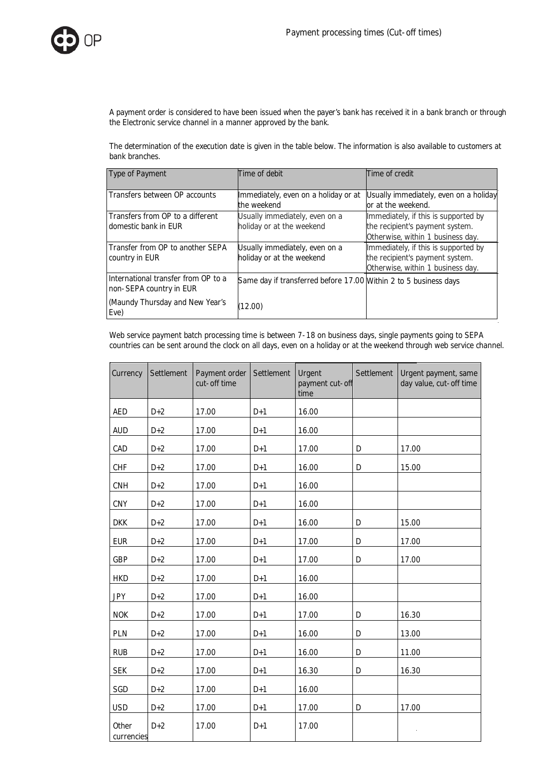

A payment order is considered to have been issued when the payer's bank has received it in a bank branch or through the Electronic service channel in a manner approved by the bank.

The determination of the execution date is given in the table below. The information is also available to customers at bank branches.

| Type of Payment                                                | Time of debit                                                    | Time of credit                                                                                               |
|----------------------------------------------------------------|------------------------------------------------------------------|--------------------------------------------------------------------------------------------------------------|
| Transfers between OP accounts                                  | Immediately, even on a holiday or at<br>the weekend              | Usually immediately, even on a holiday<br>or at the weekend.                                                 |
| Transfers from OP to a different<br>domestic bank in EUR       | Usually immediately, even on a<br>holiday or at the weekend      | Immediately, if this is supported by<br>the recipient's payment system.<br>Otherwise, within 1 business day. |
| Transfer from OP to another SEPA<br>country in EUR             | Usually immediately, even on a<br>holiday or at the weekend      | Immediately, if this is supported by<br>the recipient's payment system.<br>Otherwise, within 1 business day. |
| International transfer from OP to a<br>non-SEPA country in EUR | Same day if transferred before 17.00 Within 2 to 5 business days |                                                                                                              |
| (Maundy Thursday and New Year's<br>Eve)                        | (12.00)                                                          |                                                                                                              |

Web service payment batch processing time is between 7-18 on business days, single payments going to SEPA countries can be sent around the clock on all days, even on a holiday or at the weekend through web service channel.

| Currency            | Settlement | Payment order<br>cut-off time | Settlement | Urgent<br>payment cut-off<br>time | Settlement | Urgent payment, same<br>day value, cut-off time |
|---------------------|------------|-------------------------------|------------|-----------------------------------|------------|-------------------------------------------------|
| <b>AED</b>          | $D+2$      | 17.00                         | $D+1$      | 16.00                             |            |                                                 |
| <b>AUD</b>          | $D+2$      | 17.00                         | $D+1$      | 16.00                             |            |                                                 |
| CAD                 | $D+2$      | 17.00                         | $D+1$      | 17.00                             | D          | 17.00                                           |
| <b>CHF</b>          | $D+2$      | 17.00                         | $D+1$      | 16.00                             | D          | 15.00                                           |
| CNH                 | $D+2$      | 17.00                         | $D+1$      | 16.00                             |            |                                                 |
| CNY                 | $D+2$      | 17.00                         | $D+1$      | 16.00                             |            |                                                 |
| <b>DKK</b>          | $D+2$      | 17.00                         | $D+1$      | 16.00                             | D          | 15.00                                           |
| <b>EUR</b>          | $D+2$      | 17.00                         | $D+1$      | 17.00                             | D          | 17.00                                           |
| GBP                 | $D+2$      | 17.00                         | $D+1$      | 17.00                             | D          | 17.00                                           |
| <b>HKD</b>          | $D+2$      | 17.00                         | $D+1$      | 16.00                             |            |                                                 |
| <b>JPY</b>          | $D+2$      | 17.00                         | $D+1$      | 16.00                             |            |                                                 |
| <b>NOK</b>          | $D+2$      | 17.00                         | $D+1$      | 17.00                             | D          | 16.30                                           |
| PLN                 | $D+2$      | 17.00                         | $D+1$      | 16.00                             | D          | 13.00                                           |
| <b>RUB</b>          | $D+2$      | 17.00                         | $D+1$      | 16.00                             | D          | 11.00                                           |
| <b>SEK</b>          | $D+2$      | 17.00                         | $D+1$      | 16.30                             | D          | 16.30                                           |
| SGD                 | $D+2$      | 17.00                         | $D+1$      | 16.00                             |            |                                                 |
| <b>USD</b>          | $D+2$      | 17.00                         | $D+1$      | 17.00                             | D          | 17.00                                           |
| Other<br>currencies | $D+2$      | 17.00                         | $D+1$      | 17.00                             |            |                                                 |